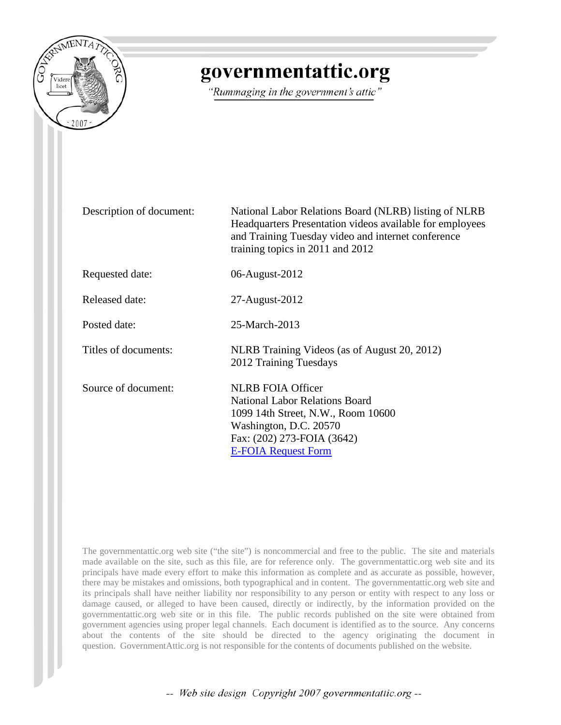

# governmentattic.org

"Rummaging in the government's attic"

| Description of document: | National Labor Relations Board (NLRB) listing of NLRB<br>Headquarters Presentation videos available for employees<br>and Training Tuesday video and internet conference<br>training topics in 2011 and 2012 |
|--------------------------|-------------------------------------------------------------------------------------------------------------------------------------------------------------------------------------------------------------|
| Requested date:          | 06-August-2012                                                                                                                                                                                              |
| Released date:           | 27-August-2012                                                                                                                                                                                              |
| Posted date:             | 25-March-2013                                                                                                                                                                                               |
| Titles of documents:     | NLRB Training Videos (as of August 20, 2012)<br>2012 Training Tuesdays                                                                                                                                      |
| Source of document:      | <b>NLRB FOIA Officer</b><br><b>National Labor Relations Board</b><br>1099 14th Street, N.W., Room 10600<br>Washington, D.C. 20570<br>Fax: (202) 273-FOIA (3642)<br><b>E-FOIA Request Form</b>               |

The governmentattic.org web site ("the site") is noncommercial and free to the public. The site and materials made available on the site, such as this file, are for reference only. The governmentattic.org web site and its principals have made every effort to make this information as complete and as accurate as possible, however, there may be mistakes and omissions, both typographical and in content. The governmentattic.org web site and its principals shall have neither liability nor responsibility to any person or entity with respect to any loss or damage caused, or alleged to have been caused, directly or indirectly, by the information provided on the governmentattic.org web site or in this file. The public records published on the site were obtained from government agencies using proper legal channels. Each document is identified as to the source. Any concerns about the contents of the site should be directed to the agency originating the document in question. GovernmentAttic.org is not responsible for the contents of documents published on the website.

-- Web site design Copyright 2007 governmentattic.org --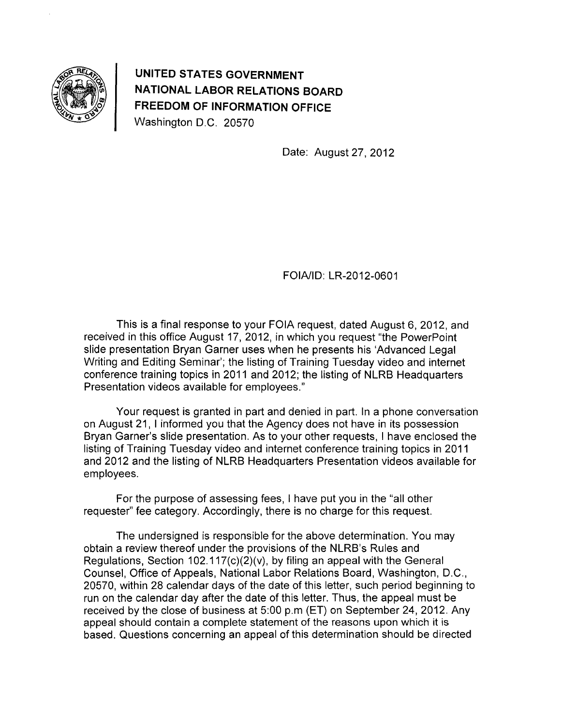

**UNITED STATES GOVERNMENT NATIONAL LABOR RELATIONS BOARD FREEDOM OF INFORMATION OFFICE**  Washington D.C. 20570

Date: August 27, 2012

FOIA/ID: LR-2012-0601

This is a final response to your FOIA request, dated August 6, 2012, and received in this office August 17, 2012, in which you request "the PowerPoint slide presentation Bryan Garner uses when he presents his 'Advanced Legal Writing and Editing Seminar'; the listing of Training Tuesday video and internet conference training topics in 2011 and 2012; the listing of NLRB Headquarters Presentation videos available for employees."

Your request is granted in part and denied in part. In a phone conversation on August 21, I informed you that the Agency does not have in its possession Bryan Garner's slide presentation. As to your other requests, I have enclosed the listing of Training Tuesday video and internet conference training topics in 2011 and 2012 and the listing of NLRB Headquarters Presentation videos available for employees.

For the purpose of assessing fees, I have put you in the "all other requester" fee category. Accordingly, there is no charge for this request.

The undersigned is responsible for the above determination. You may obtain a review thereof under the provisions of the NLRB's Rules and Regulations, Section 102.117(c)(2)(v), by filing an appeal with the General Counsel, Office of Appeals, National Labor Relations Board, Washington, D.C., 20570, within 28 calendar days of the date of this letter, such period beginning to run on the calendar day after the date of this letter. Thus, the appeal must be received by the close of business at 5:00 p.m (ET) on September 24, 2012. Any appeal should contain a complete statement of the reasons upon which it is based. Questions concerning an appeal of this determination should be directed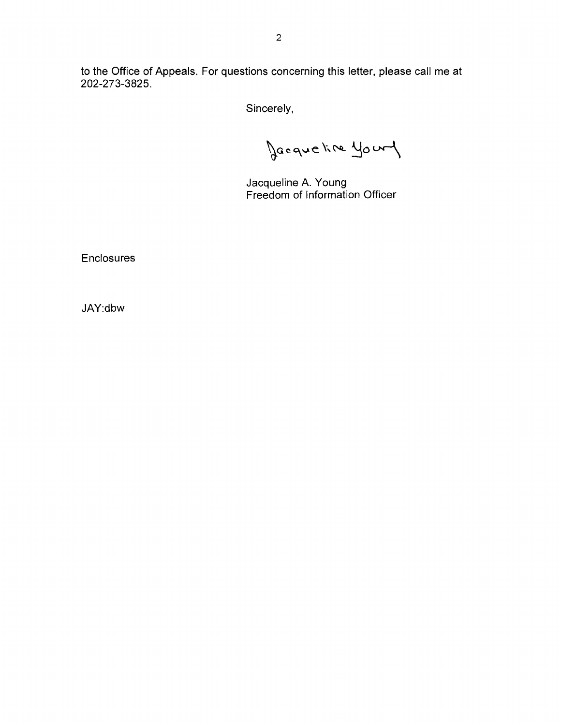to the Office of Appeals. For questions concerning this letter, please call me at 202-273-3825.

Sincerely,

Jacqueline youry

Jacqueline A. Young Freedom of Information Officer

**Enclosures** 

JAY:dbw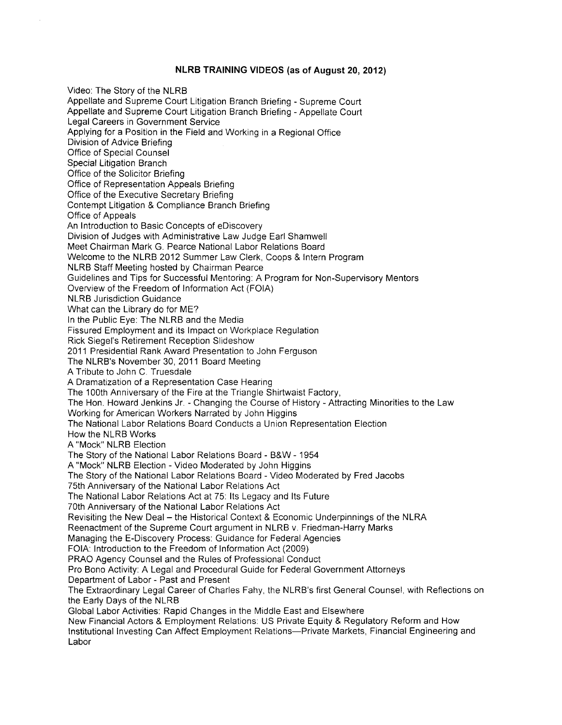#### **NLRB TRAINING VIDEOS** (as of **August 20, 2012)**

Video: The Story of the NLRB Appellate and Supreme Court Litigation Branch Briefing - Supreme Court Appellate and Supreme Court Litigation Branch Briefing - Appellate Court Legal Careers in Government Service Applying for a Position in the Field and Working in a Regional Office Division of Advice Briefing Office of Special Counsel Special Litigation Branch Office of the Solicitor Briefing Office of Representation Appeals Briefing Office of the Executive Secretary Briefing Contempt Litigation & Compliance Branch Briefing Office of Appeals An Introduction to Basic Concepts of eDiscovery Division of Judges with Administrative Law Judge Earl Shamwell Meet Chairman Mark G. Pearce National Labor Relations Board Welcome to the NLRB 2012 Summer Law Clerk, Coops & Intern Program NLRB Staff Meeting hosted by Chairman Pearce Guidelines and Tips for Successful Mentoring: A Program for Non-Supervisory Mentors Overview of the Freedom of Information Act (FOIA) NLRB Jurisdiction Guidance What can the Library do for ME? In the Public Eye: The NLRB and the Media Fissured Employment and its Impact on Workplace Regulation Rick Siegel's Retirement Reception Slideshow 2011 Presidential Rank Award Presentation to John Ferguson The NLRB's November 30, 2011 Board Meeting A Tribute to John C. Truesdale A Dramatization of a Representation Case Hearing The 100th Anniversary of the Fire at the Triangle Shirtwaist Factory, The Hon. Howard Jenkins Jr. -Changing the Course of History- Attracting Minorities to the Law Working for American Workers Narrated by John Higgins The National Labor Relations Board Conducts a Union Representation Election How the NLRB Works A "Mock" NLRB Election The Story of the National Labor Relations Board - B&W - 1954 A "Mock" NLRB Election - Video Moderated by John Higgins The Story of the National Labor Relations Board -Video Moderated by Fred Jacobs 75th Anniversary of the National Labor Relations Act The National Labor Relations Act at 75: Its Legacy and Its Future 70th Anniversary of the National Labor Relations Act Revisiting the New Deal- the Historical Context & Economic Underpinnings of the NLRA Reenactment of the Supreme Court argument in NLRB v. Friedman-Harry Marks Managing the E-Discovery Process: Guidance for Federal Agencies FOIA: Introduction to the Freedom of Information Act (2009) PRAO Agency Counsel and the Rules of Professional Conduct Pro Bono Activity: A Legal and Procedural Guide for Federal Government Attorneys Department of Labor- Past and Present The Extraordinary Legal Career of Charles Fahy, the NLRB's first General Counsel, with Reflections on the Early Days of the NLRB Global Labor Activities: Rapid Changes in the Middle East and Elsewhere New Financial Actors & Employment Relations: US Private Equity & Regulatory Reform and How Institutional Investing Can Affect Employment Relations-Private Markets, Financial Engineering and Labor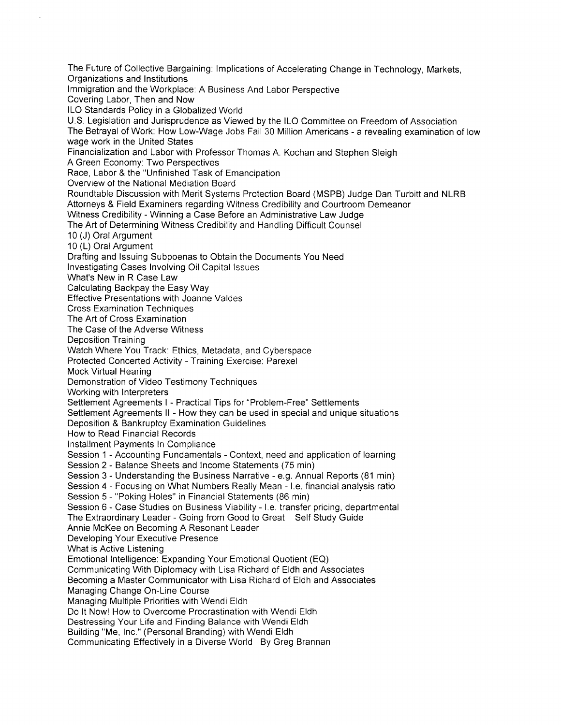The Future of Collective Bargaining: Implications of Accelerating Change in Technology, Markets, Organizations and Institutions Immigration and the Workplace: A Business And Labor Perspective Covering Labor, Then and Now ILO Standards Policy in a Globalized World U.S. Legislation and Jurisprudence as Viewed by the ILO Committee on Freedom of Association The Betrayal of Work: How Low-Wage Jobs Fail 30 Million Americans- a revealing examination of low wage work in the United States Financialization and Labor with Professor Thomas A. Kochan and Stephen Sleigh A Green Economy: Two Perspectives Race, Labor & the "Unfinished Task of Emancipation Overview of the National Mediation Board Roundtable Discussion with Merit Systems Protection Board (MSPB) Judge Dan Turbitt and **NLRB**  Attorneys & Field Examiners regarding Witness Credibility and Courtroom Demeanor Witness Credibility- Winning a Case Before an Administrative Law Judge The Art of Determining Witness Credibility and Handling Difficult Counsel 10 (J) Oral Argument 10 **(L)** Oral Argument Drafting and Issuing Subpoenas to Obtain the Documents You Need Investigating Cases Involving Oil Capital Issues What's New in R Case Law Calculating Backpay the Easy Way Effective Presentations with Joanne Valdes Cross Examination Techniques The Art of Cross Examination The Case of the Adverse Witness Deposition Training Watch Where You Track: Ethics, Metadata, and Cyberspace Protected Concerted Activity - Training Exercise: Parexel Mock Virtual Hearing Demonstration of Video Testimony Techniques Working with Interpreters Settlement Agreements I - Practical Tips for "Problem-Free" Settlements Settlement Agreements II - How they can be used in special and unique situations Deposition & Bankruptcy Examination Guidelines How to Read Financial Records Installment Payments In Compliance Session 1 - Accounting Fundamentals - Context, need and application of learning Session 2- Balance Sheets and Income Statements (75 min) Session 3- Understanding the Business Narrative- e.g. Annual Reports (81 min) Session 4- Focusing on What Numbers Really Mean- I.e. financial analysis ratio Session 5- "Poking Holes" in Financial Statements (86 min) Session 6- Case Studies on Business Viability- I.e. transfer pricing, departmental The Extraordinary Leader- Going from Good to Great Self Study Guide Annie McKee on Becoming A Resonant Leader Developing Your Executive Presence What is Active Listening Emotional Intelligence: Expanding Your Emotional Quotient (EO) Communicating With Diplomacy with Lisa Richard of Eldh and Associates Becoming a Master Communicator with Lisa Richard of Eldh and Associates Managing Change On-Line Course Managing Multiple Priorities with Wendi Eldh Do It Now! How to Overcome Procrastination with Wendi Eldh Destressing Your Life and Finding Balance with Wendi Eldh Building "Me, Inc." (Personal Branding) with Wendi Eldh Communicating Effectively in a Diverse World By Greg Brannan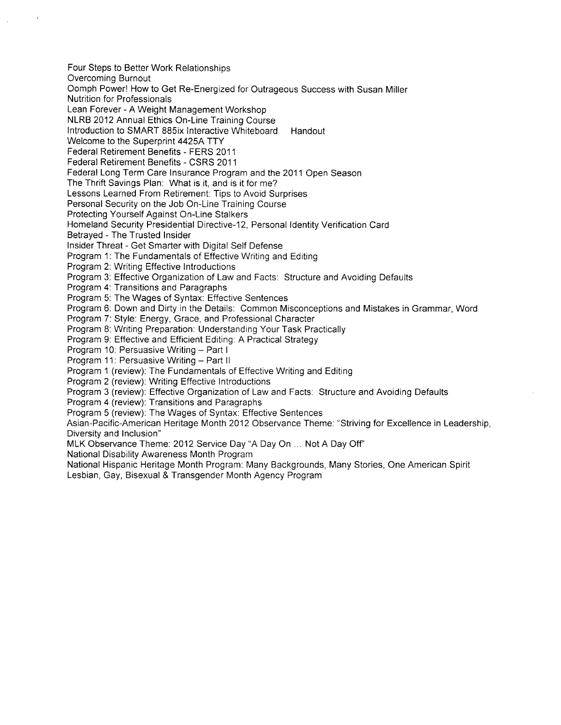Four Steps to Better Work Relationships Overcoming Burnout Oomph Power! How to Get Re-Energized for Outrageous Success with Susan Miller Nutrition for Professionals Lean Forever- A Weight Management Workshop NLRB 2012 Annual Ethics On-Line Training Course Introduction to SMART 885ix Interactive Whiteboard Handout Welcome to the Superprint 4425A TTY Federal Retirement Benefits - FERS 2011 Federal Retirement Benefits- CSRS 2011 Federal Long Term Care Insurance Program and the 2011 Open Season The Thrift Savings Plan: What is it, and is it for me? Lessons Learned From Retirement: Tips to Avoid Surprises Personal Security on the Job On-Line Training Course Protecting Yourself Against On-Line Stalkers Homeland Security Presidential Directive-12, Personal Identity Verification Card Betrayed -The Trusted Insider Insider Threat- Get Smarter with Digital Self Defense Program 1: The Fundamentals of Effective Writing and Editing Program 2: Writing Effective Introductions Program 3: Effective Organization of Law and Facts: Structure and Avoiding Defaults Program 4: Transitions and Paragraphs Program 5: The Wages of Syntax: Effective Sentences Program 6: Down and Dirty in the Details: Common Misconceptions and Mistakes in Grammar, Word Program 7: Style: Energy, Grace, and Professional Character Program 8: Writing Preparation: Understanding Your Task Practically Program 9: Effective and Efficient Editing: A Practical Strategy Program 10: Persuasive Writing - Part I Program 11: Persuasive Writing - Part II Program 1 (review): The Fundamentals of Effective Writing and Editing Program 2 (review): Writing Effective Introductions Program 3 (review): Effective Organization of Law and Facts: Structure and Avoiding Defaults Program 4 (review): Transitions and Paragraphs Program 5 (review): The Wages of Syntax: Effective Sentences Asian-Pacific-American Heritage Month 2012 Observance Theme: "Striving for Excellence in Leadership, Diversity and Inclusion" MLK Observance Theme: 2012 Service Day "A Day On ... Not A Day Off' National Disability Awareness Month Program National Hispanic Heritage Month Program: Many Backgrounds, Many Stories, One American Spirit Lesbian, Gay, Bisexual & Transgender Month Agency Program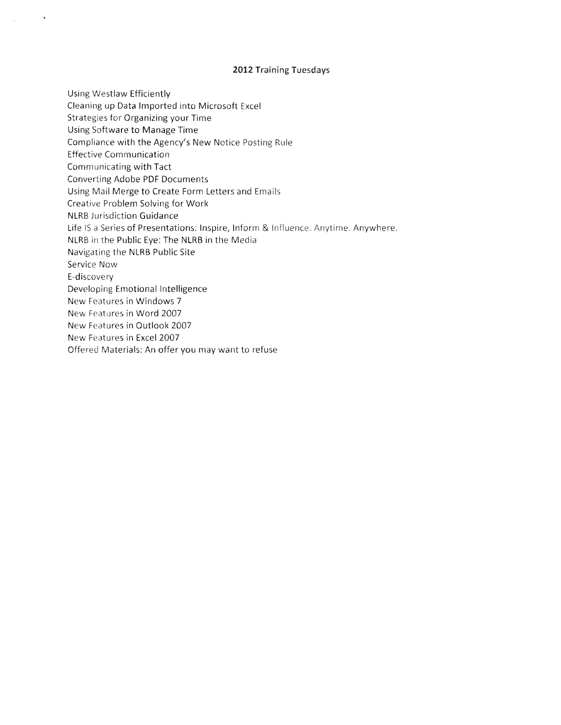#### **2012** Training Tuesdays

Using Westlaw Efficiently Cleaning up Data Imported into Microsoft Excel Strategies for Organizing your Time Using Software to Manage Time Compliance with the Agency's New Notice Posting Rule Effective Communication Communicating with Tact Converting Adobe PDF Documents Using Mail Merge to Create Form Letters and Emails Creative Problem Solving for Work NLRB Jurisdiction Guidance Life IS a Series of Presentations: Inspire, Inform & Influence. Anytime. Anywhere. NLRB in the Public Eye: The NLRB in the Media Navigating the NLRB Public Site Service Now E-discovery Developing Emotional Intelligence New Features in Windows 7 New Features in Word 2007 New Features in Outlook 2007 New Features in Excel 2007 Offered Materials: An offer you may want to refuse

 $\bullet$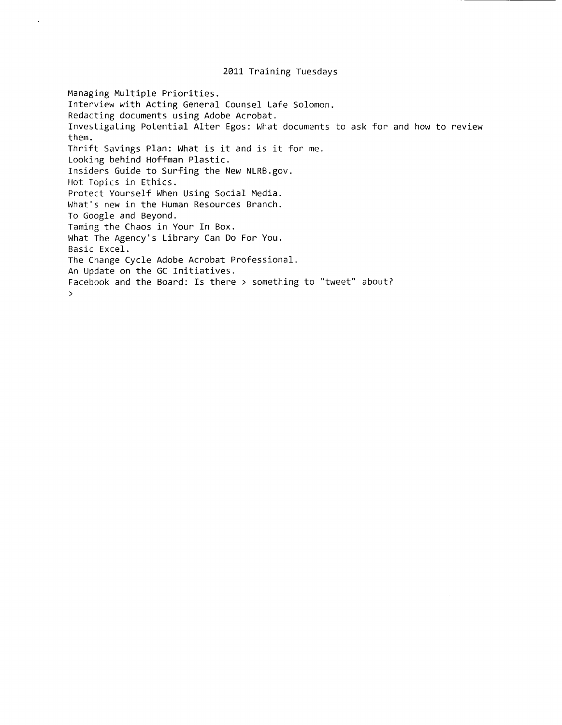#### 2011 Training Tuesdays

Managing Multiple Priorities. Interview with Acting General Counsel Lafe Solomon. Redacting documents using Adobe Acrobat. Investigating Potential Alter Egos: What documents to ask for and how to review them. Thrift Savings Plan: What is it and is it for me. Looking behind Hoffman Plastic. Insiders Guide to Surfing the New NLRB.gov. Hot Topics in Ethics. Protect Yourself When Using Social Media. What's new in the Human Resources Branch. To Google and Beyond. Taming the Chaos in Your In Box. What The Agency's Library Can Do For You. Basic Excel. The Change Cycle Adobe Acrobat Professional. An Update on the GC Initiatives. Facebook and the Board: Is there > something to "tweet" about?  $\mathbf{r}$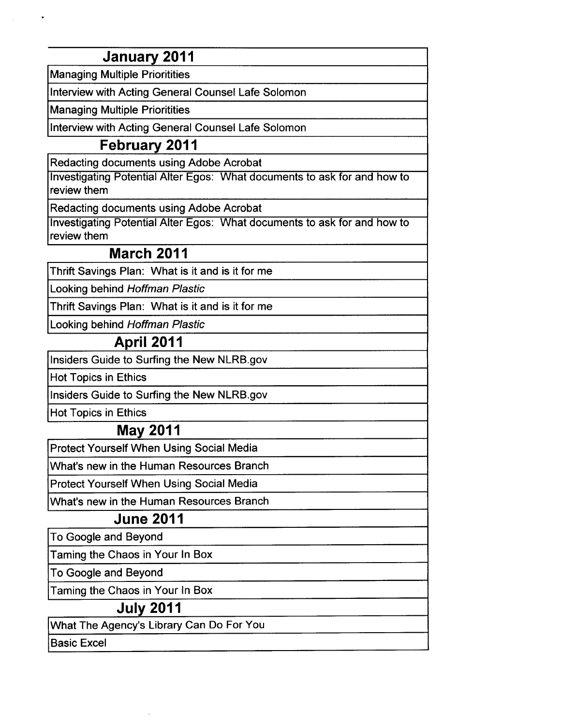# **January 2011**

Managing Multiple Prioritities

Interview with Acting General Counsel Lafe Solomon

Managing Multiple Prioritities

Interview with Acting General Counsel Lafe Solomon

### **February 2011**

Redacting documents using Adobe Acrobat

Investigating Potential Alter Egos: What documents to ask for and how to review them

Redacting documents using Adobe Acrobat

Investigating Potential Alter Egos: What documents to ask for and how to review them

#### **March 2011**

Thrift Savings Plan: What is it and is it for me

Looking behind Hoffman Plastic

Thrift Savings Plan: What is it and is it for me

Looking behind Hoffman Plastic

## **April 2011**

Insiders Guide to Surfing the New NLRB.gov

Hot Topics in Ethics

Insiders Guide to Surfing the New NLRB.gov

Hot Topics in Ethics

## **May 2011**

Protect Yourself When Using Social Media

What's new in the Human Resources Branch

Protect Yourself When Using Social Media

What's new in the Human Resources Branch

## **June 2011**

To Google and Beyond

Taming the Chaos in Your In Box

To Google and Beyond

Taming the Chaos in Your In Box

#### **July 2011**

What The Agency's Library Can Do For You

Basic Excel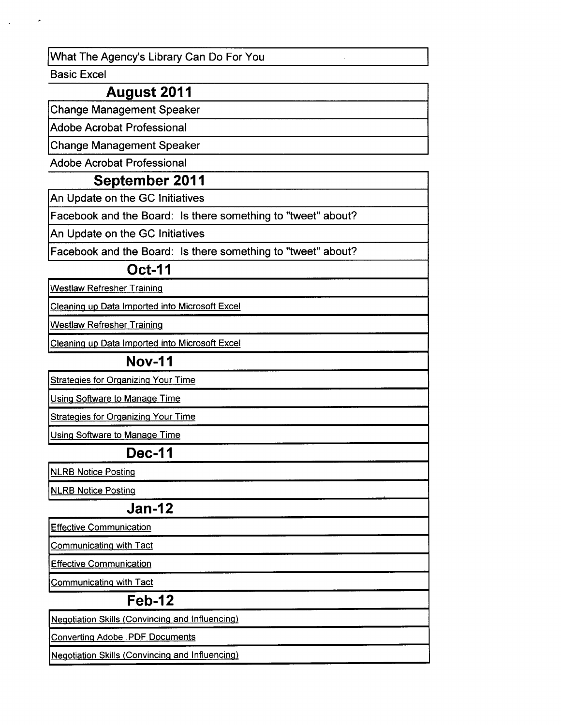What The Agency's Library Can Do For You

Basic Excel

### **August 2011**

Change Management Speaker

Adobe Acrobat Professional

Change Management Speaker

Adobe Acrobat Professional

#### **September 2011**

An Update on the GC Initiatives

Facebook and the Board: Is there something to "tweet" about?

An Update on the GC Initiatives

Facebook and the Board: Is there something to "tweet" about?

#### **Oct-11**

Westlaw Refresher Training

Cleaning up Data Imported into Microsoft Excel

Westlaw Refresher Training

Cleaning ug Data lmgorted into Microsoft Excel

#### **Nov-11**

**Strategies for Organizing Your Time** 

Using Software to Manage Time

**Strategies for Organizing Your Time** 

Using Software to Manage Time

#### **Dec-11**

NLRB Notice Posting

NLRB Notice Posting

#### **Jan-12**

Effective Communication

Communicating with Tact

Effective Communication

Communicating with Tact

#### **Feb-12**

Negotiation Skills (Convincing and Influencing)

Converting Adobe .PDF Documents

Negotiation Skills (Convincing and Influencing}